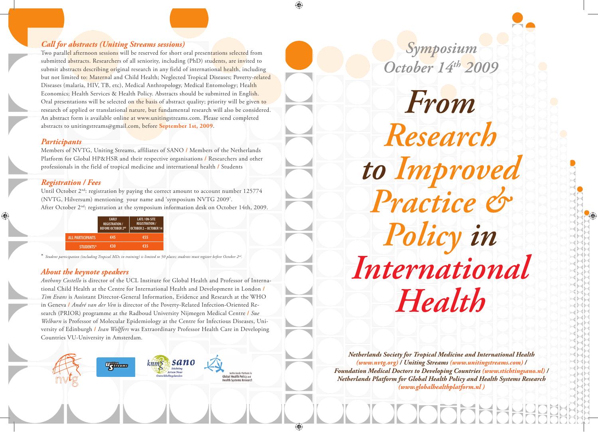## *Call for abstracts (Uniting Streams sessions)*

Two parallel afternoon sessions will be reserved for short oral presentations selected from submitted abstracts. Researchers of all seniority, including (PhD) students, are invited to submit abstracts describing original research in any field of international health, including but not limited to: Maternal and Child Health; Neglected Tropical Diseases; Poverty-related Diseases (malaria, HIV, TB, etc), Medical Anthropology, Medical Entomology; Health Economics; Health Services & Health Policy. Abstracts should be submitted in English. Oral presentations will be selected on the basis of abstract quality; priority will be given to research of applied or translational nature, but fundamental research will also be considered. An abstract form is available online at www.unitingstreams.com. Please send completed abstracts to unitingstreams@gmail.com, before **September 1st, 2009**.

### *Participants*

Members of NVTG, Uniting Streams, affiliates of SANO **/** Members of the Netherlands Platform for Global HP&HSR and their respective organisations **/** Researchers and other professionals in the field of tropical medicine and international health **/** Students

## *Registration / Fees*

Until October 2<sup>nd</sup>: registration by paying the correct amount to account number 125774 (NVTG, Hilversum) mentioning your name and 'symposium NVTG 2009'. After October  $2<sup>nd</sup>$ : registration at the symposium information desk on October 14th, 2009.

|                         | <b>EARLY</b><br><b>REGISTRATION/</b><br><b>BEFORE OCTOBER 2ND</b> | LATE / ON-SITE<br><b>REGISTRATION /</b><br>$OCTOBER 2 - OCTOBER 14$ |
|-------------------------|-------------------------------------------------------------------|---------------------------------------------------------------------|
| <b>ALL PARTICIPANTS</b> | 645                                                               | €55                                                                 |
| STUDENTS*               | 630                                                               | 635                                                                 |

**Ugilleams** 

\* *Student participation (including Tropical MDs in training) is limited to 50 places; students must register before October 2nd.*

## *About the keynote speakers*

*Anthony Costello* is director of the UCL Institute for Global Health and Professor of International Child Health at the Centre for International Health and Development in London **/**  *Tim Evans* is Assistant Director-General Information, Evidence and Research at the WHO in Geneva **/** *André van der Ven* is director of the Poverty-Related Infection-Oriented Research (PRIOR) programme at the Radboud University Nijmegen Medical Centre **/** *Sue Welburn* is Professor of Molecular Epidemiology at the Centre for Infectious Diseases, University of Edinburgh **/** *Ivan Wolffers* was Extraordinary Professor Health Care in Developing Countries VU-University in Amsterdam.

 $kmm<sub>5</sub>$ 

sano

Global Health Policy and



Symposium

October 14th 2009

From

Research

to Improved<br>Practice &

Policy in

International

Health